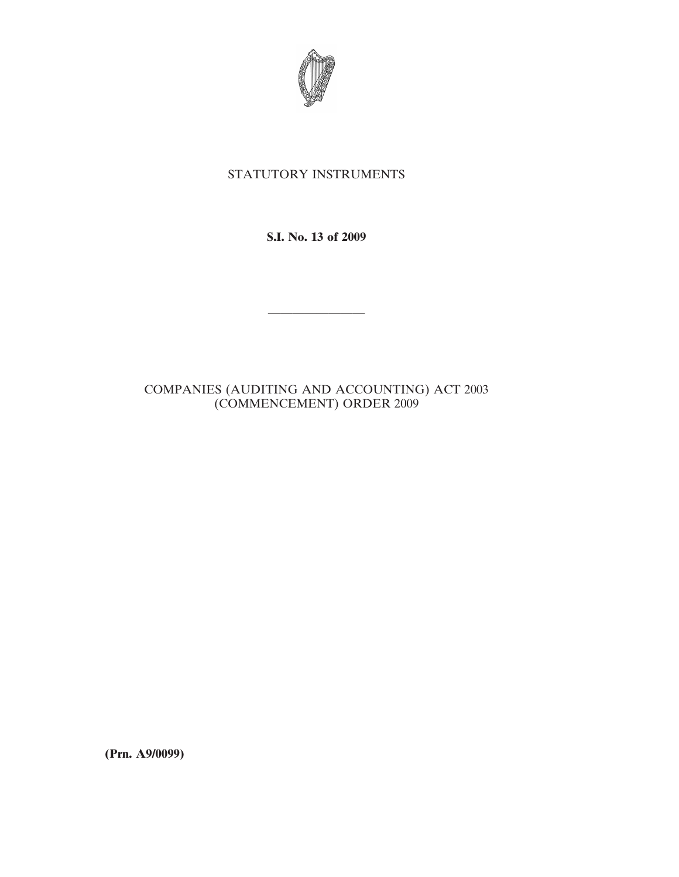

## STATUTORY INSTRUMENTS

**S.I. No. 13 of 2009**

————————

## COMPANIES (AUDITING AND ACCOUNTING) ACT 2003 (COMMENCEMENT) ORDER 2009

**(Prn. A9/0099)**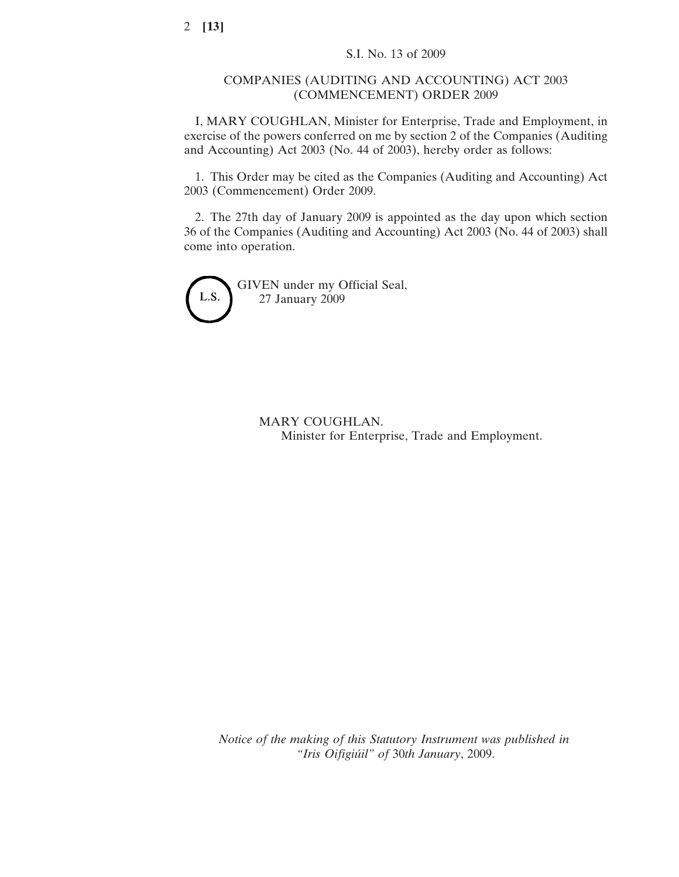## COMPANIES (AUDITING AND ACCOUNTING) ACT 2003 (COMMENCEMENT) ORDER 2009

I, MARY COUGHLAN, Minister for Enterprise, Trade and Employment, in exercise of the powers conferred on me by section 2 of the Companies (Auditing and Accounting) Act 2003 (No. 44 of 2003), hereby order as follows:

1. This Order may be cited as the Companies (Auditing and Accounting) Act 2003 (Commencement) Order 2009.

2. The 27th day of January 2009 is appointed as the day upon which section 36 of the Companies (Auditing and Accounting) Act 2003 (No. 44 of 2003) shall come into operation.



GIVEN under my Official Seal, 27 January 2009

> MARY COUGHLAN. Minister for Enterprise, Trade and Employment.

*Notice of the making of this Statutory Instrument was published in "Iris Oifigiu´il" of* 30*th January*, 2009.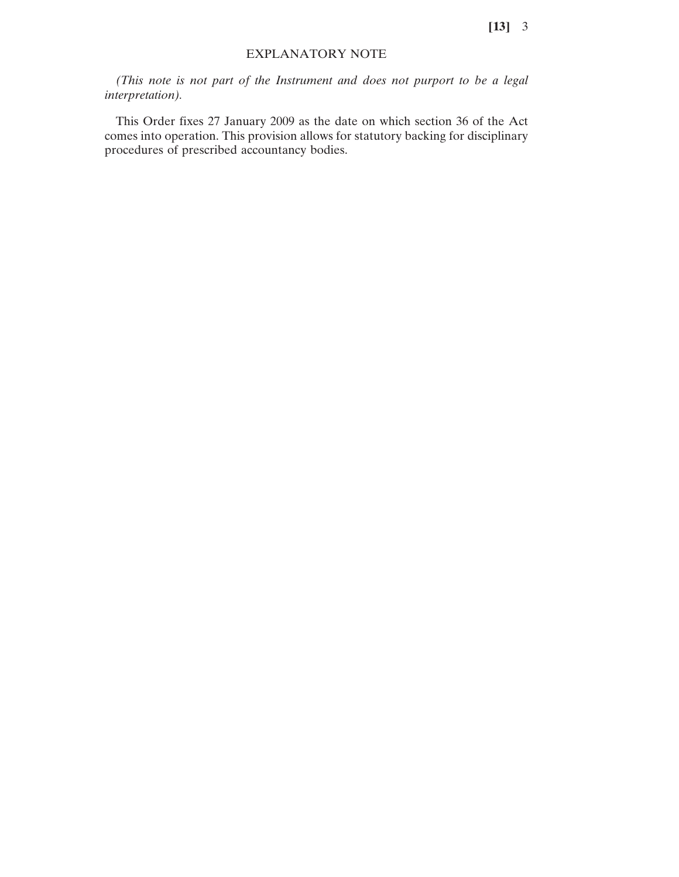## EXPLANATORY NOTE

*(This note is not part of the Instrument and does not purport to be a legal interpretation).*

This Order fixes 27 January 2009 as the date on which section 36 of the Act comes into operation. This provision allows for statutory backing for disciplinary procedures of prescribed accountancy bodies.